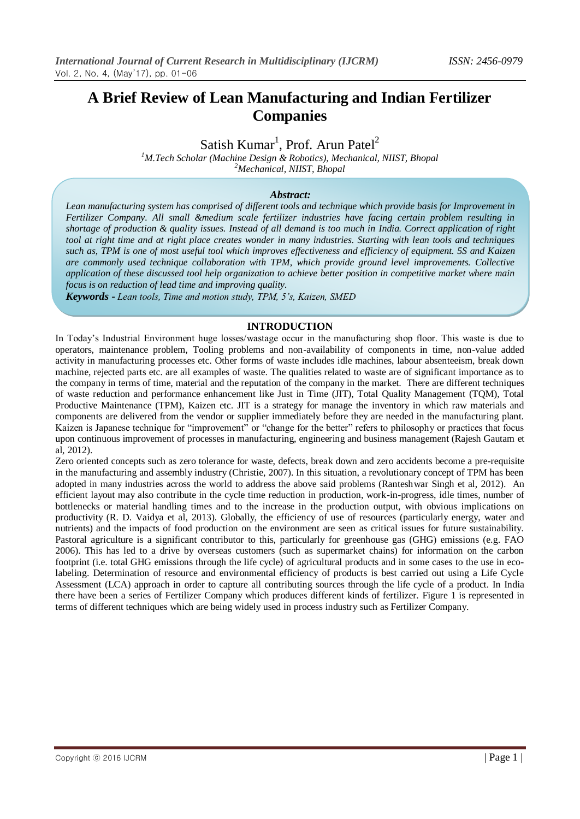# **A Brief Review of Lean Manufacturing and Indian Fertilizer Companies**

Satish Kumar<sup>1</sup>, Prof. Arun Patel<sup>2</sup>

*<sup>1</sup>M.Tech Scholar (Machine Design & Robotics), Mechanical, NIIST, Bhopal <sup>2</sup>Mechanical, NIIST, Bhopal*

#### *Abstract:*

*Lean manufacturing system has comprised of different tools and technique which provide basis for Improvement in Fertilizer Company. All small &medium scale fertilizer industries have facing certain problem resulting in shortage of production & quality issues. Instead of all demand is too much in India. Correct application of right tool at right time and at right place creates wonder in many industries. Starting with lean tools and techniques such as, TPM is one of most useful tool which improves effectiveness and efficiency of equipment. 5S and Kaizen are commonly used technique collaboration with TPM, which provide ground level improvements. Collective application of these discussed tool help organization to achieve better position in competitive market where main focus is on reduction of lead time and improving quality.*

*Keywords - Lean tools, Time and motion study, TPM, 5's, Kaizen, SMED*

### **INTRODUCTION**

In Today"s Industrial Environment huge losses/wastage occur in the manufacturing shop floor. This waste is due to operators, maintenance problem, Tooling problems and non-availability of components in time, non-value added activity in manufacturing processes etc. Other forms of waste includes idle machines, labour absenteeism, break down machine, rejected parts etc. are all examples of waste. The qualities related to waste are of significant importance as to the company in terms of time, material and the reputation of the company in the market. There are different techniques of waste reduction and performance enhancement like Just in Time (JIT), Total Quality Management (TQM), Total Productive Maintenance (TPM), Kaizen etc. JIT is a strategy for manage the inventory in which raw materials and components are delivered from the vendor or supplier immediately before they are needed in the manufacturing plant. Kaizen is Japanese technique for "improvement" or "change for the better" refers to philosophy or practices that focus upon continuous improvement of processes in manufacturing, engineering and business management (Rajesh Gautam et al, 2012).

Zero oriented concepts such as zero tolerance for waste, defects, break down and zero accidents become a pre-requisite in the manufacturing and assembly industry (Christie, 2007). In this situation, a revolutionary concept of TPM has been adopted in many industries across the world to address the above said problems (Ranteshwar Singh et al, 2012). An efficient layout may also contribute in the cycle time reduction in production, work-in-progress, idle times, number of bottlenecks or material handling times and to the increase in the production output, with obvious implications on productivity (R. D. Vaidya et al, 2013). Globally, the efficiency of use of resources (particularly energy, water and nutrients) and the impacts of food production on the environment are seen as critical issues for future sustainability. Pastoral agriculture is a significant contributor to this, particularly for greenhouse gas (GHG) emissions (e.g. FAO 2006). This has led to a drive by overseas customers (such as supermarket chains) for information on the carbon footprint (i.e. total GHG emissions through the life cycle) of agricultural products and in some cases to the use in ecolabeling. Determination of resource and environmental efficiency of products is best carried out using a Life Cycle Assessment (LCA) approach in order to capture all contributing sources through the life cycle of a product. In India there have been a series of Fertilizer Company which produces different kinds of fertilizer. Figure 1 is represented in terms of different techniques which are being widely used in process industry such as Fertilizer Company.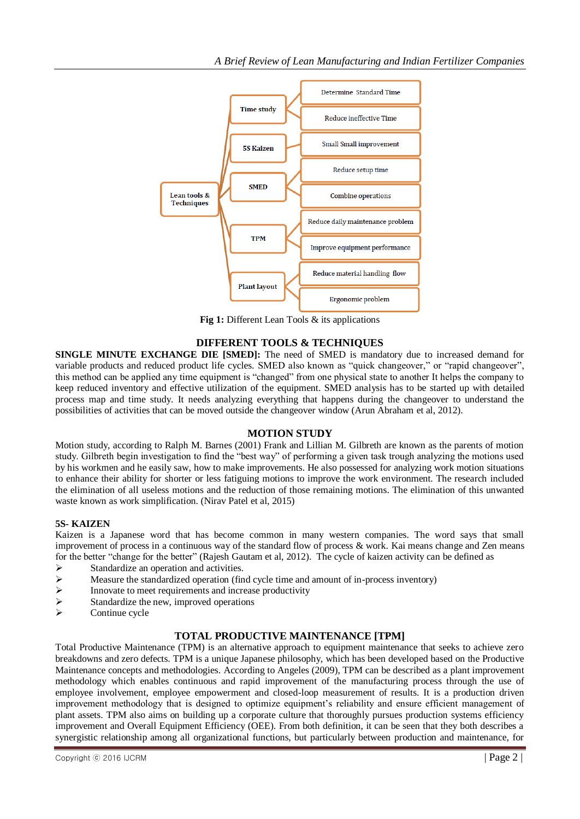

**Fig 1:** Different Lean Tools & its applications

## **DIFFERENT TOOLS & TECHNIQUES**

**SINGLE MINUTE EXCHANGE DIE [SMED]:** The need of SMED is mandatory due to increased demand for variable products and reduced product life cycles. SMED also known as "quick changeover," or "rapid changeover", this method can be applied any time equipment is "changed" from one physical state to another It helps the company to keep reduced inventory and effective utilization of the equipment. SMED analysis has to be started up with detailed process map and time study. It needs analyzing everything that happens during the changeover to understand the possibilities of activities that can be moved outside the changeover window (Arun Abraham et al, 2012).

## **MOTION STUDY**

Motion study, according to Ralph M. Barnes (2001) Frank and Lillian M. Gilbreth are known as the parents of motion study. Gilbreth begin investigation to find the "best way" of performing a given task trough analyzing the motions used by his workmen and he easily saw, how to make improvements. He also possessed for analyzing work motion situations to enhance their ability for shorter or less fatiguing motions to improve the work environment. The research included the elimination of all useless motions and the reduction of those remaining motions. The elimination of this unwanted waste known as work simplification. (Nirav Patel et al, 2015)

## **5S- KAIZEN**

Kaizen is a Japanese word that has become common in many western companies. The word says that small improvement of process in a continuous way of the standard flow of process & work. Kai means change and Zen means for the better "change for the better" (Rajesh Gautam et al, 2012). The cycle of kaizen activity can be defined as

- $\triangleright$  Standardize an operation and activities.<br>
Standardized operation (fin
- Measure the standardized operation (find cycle time and amount of in-process inventory)<br>
Innovate to meet requirements and increase productivity
- Innovate to meet requirements and increase productivity
- $\triangleright$  Standardize the new, improved operations
- Continue cycle

## **TOTAL PRODUCTIVE MAINTENANCE [TPM]**

Total Productive Maintenance (TPM) is an alternative approach to equipment maintenance that seeks to achieve zero breakdowns and zero defects. TPM is a unique Japanese philosophy, which has been developed based on the Productive Maintenance concepts and methodologies. According to Angeles (2009), TPM can be described as a plant improvement methodology which enables continuous and rapid improvement of the manufacturing process through the use of employee involvement, employee empowerment and closed-loop measurement of results. It is a production driven improvement methodology that is designed to optimize equipment"s reliability and ensure efficient management of plant assets. TPM also aims on building up a corporate culture that thoroughly pursues production systems efficiency improvement and Overall Equipment Efficiency (OEE). From both definition, it can be seen that they both describes a synergistic relationship among all organizational functions, but particularly between production and maintenance, for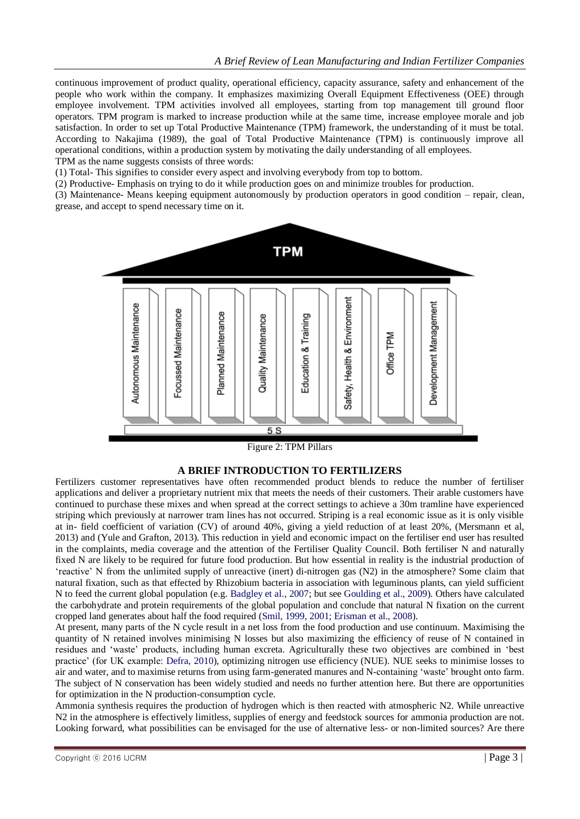continuous improvement of product quality, operational efficiency, capacity assurance, safety and enhancement of the people who work within the company. It emphasizes maximizing Overall Equipment Effectiveness (OEE) through employee involvement. TPM activities involved all employees, starting from top management till ground floor operators. TPM program is marked to increase production while at the same time, increase employee morale and job satisfaction. In order to set up Total Productive Maintenance (TPM) framework, the understanding of it must be total. According to Nakajima (1989), the goal of Total Productive Maintenance (TPM) is continuously improve all operational conditions, within a production system by motivating the daily understanding of all employees. TPM as the name suggests consists of three words:

(1) Total- This signifies to consider every aspect and involving everybody from top to bottom.

(2) Productive- Emphasis on trying to do it while production goes on and minimize troubles for production.

(3) Maintenance- Means keeping equipment autonomously by production operators in good condition – repair, clean, grease, and accept to spend necessary time on it.



Figure 2: TPM Pillars

## **A BRIEF INTRODUCTION TO FERTILIZERS**

Fertilizers customer representatives have often recommended product blends to reduce the number of fertiliser applications and deliver a proprietary nutrient mix that meets the needs of their customers. Their arable customers have continued to purchase these mixes and when spread at the correct settings to achieve a 30m tramline have experienced striping which previously at narrower tram lines has not occurred. Striping is a real economic issue as it is only visible at in- field coefficient of variation (CV) of around 40%, giving a yield reduction of at least 20%, (Mersmann et al, 2013) and (Yule and Grafton, 2013). This reduction in yield and economic impact on the fertiliser end user has resulted in the complaints, media coverage and the attention of the Fertiliser Quality Council. Both fertiliser N and naturally fixed N are likely to be required for future food production. But how essential in reality is the industrial production of "reactive" N from the unlimited supply of unreactive (inert) di-nitrogen gas (N2) in the atmosphere? Some claim that natural fixation, such as that effected by Rhizobium bacteria in association with leguminous plants, can yield sufficient N to feed the current global population (e.g. Badgley et al., 2007; but see Goulding et al., 2009). Others have calculated the carbohydrate and protein requirements of the global population and conclude that natural N fixation on the current cropped land generates about half the food required (Smil, 1999, 2001; Erisman et al., 2008).

At present, many parts of the N cycle result in a net loss from the food production and use continuum. Maximising the quantity of N retained involves minimising N losses but also maximizing the efficiency of reuse of N contained in residues and "waste" products, including human excreta. Agriculturally these two objectives are combined in "best practice" (for UK example: Defra, 2010), optimizing nitrogen use efficiency (NUE). NUE seeks to minimise losses to air and water, and to maximise returns from using farm-generated manures and N-containing "waste" brought onto farm. The subject of N conservation has been widely studied and needs no further attention here. But there are opportunities for optimization in the N production-consumption cycle.

Ammonia synthesis requires the production of hydrogen which is then reacted with atmospheric N2. While unreactive N2 in the atmosphere is effectively limitless, supplies of energy and feedstock sources for ammonia production are not. Looking forward, what possibilities can be envisaged for the use of alternative less- or non-limited sources? Are there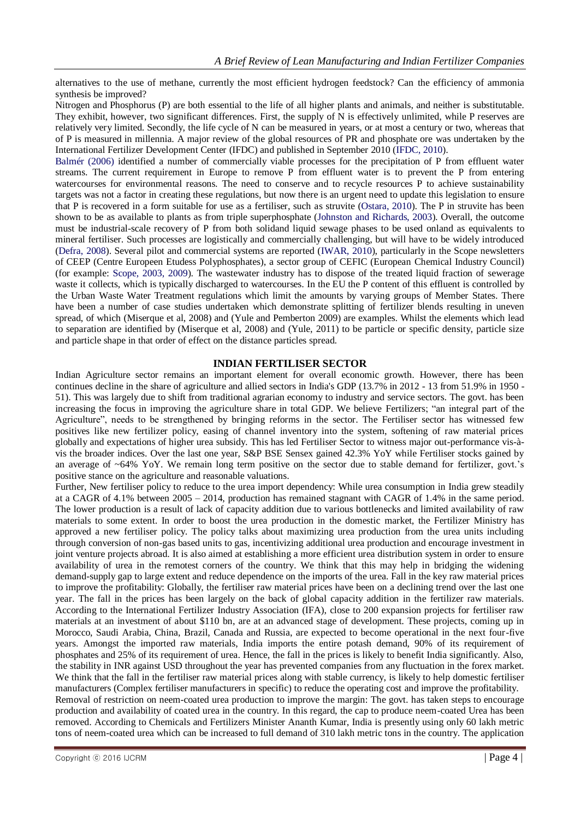alternatives to the use of methane, currently the most efficient hydrogen feedstock? Can the efficiency of ammonia synthesis be improved?

Nitrogen and Phosphorus (P) are both essential to the life of all higher plants and animals, and neither is substitutable. They exhibit, however, two significant differences. First, the supply of N is effectively unlimited, while P reserves are relatively very limited. Secondly, the life cycle of N can be measured in years, or at most a century or two, whereas that of P is measured in millennia. A major review of the global resources of PR and phosphate ore was undertaken by the International Fertilizer Development Center (IFDC) and published in September 2010 (IFDC, 2010).

Balmér (2006) identified a number of commercially viable processes for the precipitation of P from effluent water streams. The current requirement in Europe to remove P from effluent water is to prevent the P from entering watercourses for environmental reasons. The need to conserve and to recycle resources P to achieve sustainability targets was not a factor in creating these regulations, but now there is an urgent need to update this legislation to ensure that P is recovered in a form suitable for use as a fertiliser, such as struvite (Ostara, 2010). The P in struvite has been shown to be as available to plants as from triple superphosphate (Johnston and Richards, 2003). Overall, the outcome must be industrial-scale recovery of P from both solidand liquid sewage phases to be used onland as equivalents to mineral fertiliser. Such processes are logistically and commercially challenging, but will have to be widely introduced (Defra, 2008). Several pilot and commercial systems are reported (IWAR, 2010), particularly in the Scope newsletters of CEEP (Centre Europeen Etudess Polyphosphates), a sector group of CEFIC (European Chemical Industry Council) (for example: Scope, 2003, 2009). The wastewater industry has to dispose of the treated liquid fraction of sewerage waste it collects, which is typically discharged to watercourses. In the EU the P content of this effluent is controlled by the Urban Waste Water Treatment regulations which limit the amounts by varying groups of Member States. There have been a number of case studies undertaken which demonstrate splitting of fertilizer blends resulting in uneven spread, of which (Miserque et al, 2008) and (Yule and Pemberton 2009) are examples. Whilst the elements which lead to separation are identified by (Miserque et al, 2008) and (Yule, 2011) to be particle or specific density, particle size and particle shape in that order of effect on the distance particles spread.

### **INDIAN FERTILISER SECTOR**

Indian Agriculture sector remains an important element for overall economic growth. However, there has been continues decline in the share of agriculture and allied sectors in India's GDP (13.7% in 2012 - 13 from 51.9% in 1950 - 51). This was largely due to shift from traditional agrarian economy to industry and service sectors. The govt. has been increasing the focus in improving the agriculture share in total GDP. We believe Fertilizers; "an integral part of the Agriculture", needs to be strengthened by bringing reforms in the sector. The Fertiliser sector has witnessed few positives like new fertilizer policy, easing of channel inventory into the system, softening of raw material prices globally and expectations of higher urea subsidy. This has led Fertiliser Sector to witness major out-performance vis-àvis the broader indices. Over the last one year, S&P BSE Sensex gained 42.3% YoY while Fertiliser stocks gained by an average of ~64% YoY. We remain long term positive on the sector due to stable demand for fertilizer, govt."s positive stance on the agriculture and reasonable valuations.

Further, New fertiliser policy to reduce to the urea import dependency: While urea consumption in India grew steadily at a CAGR of 4.1% between 2005 – 2014, production has remained stagnant with CAGR of 1.4% in the same period. The lower production is a result of lack of capacity addition due to various bottlenecks and limited availability of raw materials to some extent. In order to boost the urea production in the domestic market, the Fertilizer Ministry has approved a new fertiliser policy. The policy talks about maximizing urea production from the urea units including through conversion of non-gas based units to gas, incentivizing additional urea production and encourage investment in joint venture projects abroad. It is also aimed at establishing a more efficient urea distribution system in order to ensure availability of urea in the remotest corners of the country. We think that this may help in bridging the widening demand-supply gap to large extent and reduce dependence on the imports of the urea. Fall in the key raw material prices to improve the profitability: Globally, the fertiliser raw material prices have been on a declining trend over the last one year. The fall in the prices has been largely on the back of global capacity addition in the fertilizer raw materials. According to the International Fertilizer Industry Association (IFA), close to 200 expansion projects for fertiliser raw materials at an investment of about \$110 bn, are at an advanced stage of development. These projects, coming up in Morocco, Saudi Arabia, China, Brazil, Canada and Russia, are expected to become operational in the next four-five years. Amongst the imported raw materials, India imports the entire potash demand, 90% of its requirement of phosphates and 25% of its requirement of urea. Hence, the fall in the prices is likely to benefit India significantly. Also, the stability in INR against USD throughout the year has prevented companies from any fluctuation in the forex market. We think that the fall in the fertiliser raw material prices along with stable currency, is likely to help domestic fertiliser manufacturers (Complex fertiliser manufacturers in specific) to reduce the operating cost and improve the profitability. Removal of restriction on neem-coated urea production to improve the margin: The govt. has taken steps to encourage

production and availability of coated urea in the country. In this regard, the cap to produce neem-coated Urea has been removed. According to Chemicals and Fertilizers Minister Ananth Kumar, India is presently using only 60 lakh metric tons of neem-coated urea which can be increased to full demand of 310 lakh metric tons in the country. The application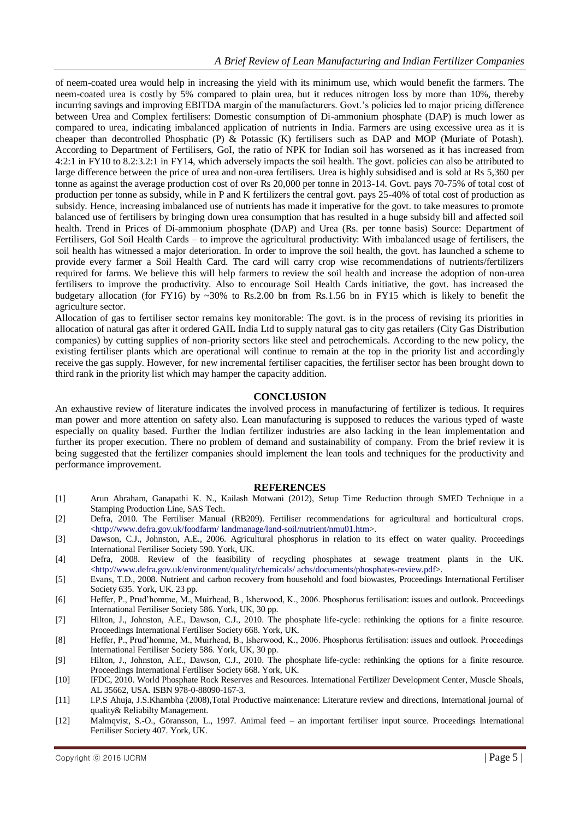of neem-coated urea would help in increasing the yield with its minimum use, which would benefit the farmers. The neem-coated urea is costly by 5% compared to plain urea, but it reduces nitrogen loss by more than 10%, thereby incurring savings and improving EBITDA margin of the manufacturers. Govt.'s policies led to major pricing difference between Urea and Complex fertilisers: Domestic consumption of Di-ammonium phosphate (DAP) is much lower as compared to urea, indicating imbalanced application of nutrients in India. Farmers are using excessive urea as it is cheaper than decontrolled Phosphatic (P) & Potassic (K) fertilisers such as DAP and MOP (Muriate of Potash). According to Department of Fertilisers, GoI, the ratio of NPK for Indian soil has worsened as it has increased from 4:2:1 in FY10 to 8.2:3.2:1 in FY14, which adversely impacts the soil health. The govt. policies can also be attributed to large difference between the price of urea and non-urea fertilisers. Urea is highly subsidised and is sold at Rs 5,360 per tonne as against the average production cost of over Rs 20,000 per tonne in 2013-14. Govt. pays 70-75% of total cost of production per tonne as subsidy, while in P and K fertilizers the central govt. pays 25-40% of total cost of production as subsidy. Hence, increasing imbalanced use of nutrients has made it imperative for the govt. to take measures to promote balanced use of fertilisers by bringing down urea consumption that has resulted in a huge subsidy bill and affected soil health. Trend in Prices of Di-ammonium phosphate (DAP) and Urea (Rs. per tonne basis) Source: Department of Fertilisers, GoI Soil Health Cards – to improve the agricultural productivity: With imbalanced usage of fertilisers, the soil health has witnessed a major deterioration. In order to improve the soil health, the govt. has launched a scheme to provide every farmer a Soil Health Card. The card will carry crop wise recommendations of nutrients/fertilizers required for farms. We believe this will help farmers to review the soil health and increase the adoption of non-urea fertilisers to improve the productivity. Also to encourage Soil Health Cards initiative, the govt. has increased the budgetary allocation (for FY16) by ~30% to Rs.2.00 bn from Rs.1.56 bn in FY15 which is likely to benefit the agriculture sector.

Allocation of gas to fertiliser sector remains key monitorable: The govt. is in the process of revising its priorities in allocation of natural gas after it ordered GAIL India Ltd to supply natural gas to city gas retailers (City Gas Distribution companies) by cutting supplies of non-priority sectors like steel and petrochemicals. According to the new policy, the existing fertiliser plants which are operational will continue to remain at the top in the priority list and accordingly receive the gas supply. However, for new incremental fertiliser capacities, the fertiliser sector has been brought down to third rank in the priority list which may hamper the capacity addition.

### **CONCLUSION**

An exhaustive review of literature indicates the involved process in manufacturing of fertilizer is tedious. It requires man power and more attention on safety also. Lean manufacturing is supposed to reduces the various typed of waste especially on quality based. Further the Indian fertilizer industries are also lacking in the lean implementation and further its proper execution. There no problem of demand and sustainability of company. From the brief review it is being suggested that the fertilizer companies should implement the lean tools and techniques for the productivity and performance improvement.

### **REFERENCES**

- [1] Arun Abraham, Ganapathi K. N., Kailash Motwani (2012), Setup Time Reduction through SMED Technique in a Stamping Production Line, SAS Tech.
- [2] Defra, 2010. The Fertiliser Manual (RB209). Fertiliser recommendations for agricultural and horticultural crops. <http://www.defra.gov.uk/foodfarm/ landmanage/land-soil/nutrient/nmu01.htm>.
- [3] Dawson, C.J., Johnston, A.E., 2006. Agricultural phosphorus in relation to its effect on water quality. Proceedings International Fertiliser Society 590. York, UK.
- [4] Defra, 2008. Review of the feasibility of recycling phosphates at sewage treatment plants in the UK. <http://www.defra.gov.uk/environment/quality/chemicals/ achs/documents/phosphates-review.pdf>.
- [5] Evans, T.D., 2008. Nutrient and carbon recovery from household and food biowastes, Proceedings International Fertiliser Society 635. York, UK. 23 pp.
- [6] Heffer, P., Prud"homme, M., Muirhead, B., Isherwood, K., 2006. Phosphorus fertilisation: issues and outlook. Proceedings International Fertiliser Society 586. York, UK, 30 pp.
- [7] Hilton, J., Johnston, A.E., Dawson, C.J., 2010. The phosphate life-cycle: rethinking the options for a finite resource. Proceedings International Fertiliser Society 668. York, UK.
- [8] Heffer, P., Prud"homme, M., Muirhead, B., Isherwood, K., 2006. Phosphorus fertilisation: issues and outlook. Proceedings International Fertiliser Society 586. York, UK, 30 pp.
- [9] Hilton, J., Johnston, A.E., Dawson, C.J., 2010. The phosphate life-cycle: rethinking the options for a finite resource. Proceedings International Fertiliser Society 668. York, UK.
- [10] IFDC, 2010. World Phosphate Rock Reserves and Resources. International Fertilizer Development Center, Muscle Shoals, AL 35662, USA. ISBN 978-0-88090-167-3.
- [11] I.P.S Ahuja, J.S.Khambha (2008),Total Productive maintenance: Literature review and directions, International journal of quality& Reliabilty Management.
- [12] Malmqvist, S.-O., Göransson, L., 1997. Animal feed an important fertiliser input source. Proceedings International Fertiliser Society 407. York, UK.